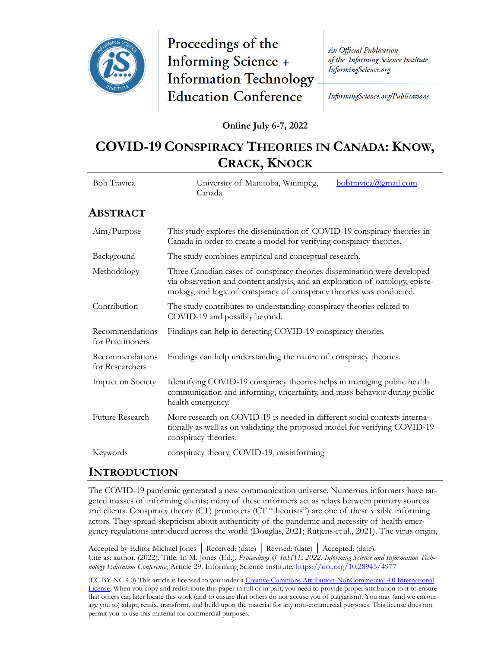

# Proceedings of the Informing Science + **Information Technology Education Conference**

An Official Publication of the Informing Science Institute InformingScience.org

InformingScience.org/Publications

**Online July 6-7, 2022**

## **COVID-19 CONSPIRACY THEORIES IN CANADA: KNOW, CRACK, KNOCK**

| <b>Bob Travica</b>                   | University of Manitoba, Winnipeg,<br>bobtravica@gmail.com<br>Canada                                                                                                                                                                |  |
|--------------------------------------|------------------------------------------------------------------------------------------------------------------------------------------------------------------------------------------------------------------------------------|--|
| Abstract                             |                                                                                                                                                                                                                                    |  |
| Aim/Purpose                          | This study explores the dissemination of COVID-19 conspiracy theories in<br>Canada in order to create a model for verifying conspiracy theories.                                                                                   |  |
| Background                           | The study combines empirical and conceptual research.                                                                                                                                                                              |  |
| Methodology                          | Three Canadian cases of conspiracy theories dissemination were developed<br>via observation and content analysis, and an exploration of ontology, episte-<br>mology, and logic of conspiracy of conspiracy theories was conducted. |  |
| Contribution                         | The study contributes to understanding conspiracy theories related to<br>COVID-19 and possibly beyond.                                                                                                                             |  |
| Recommendations<br>for Practitioners | Findings can help in detecting COVID-19 conspiracy theories.                                                                                                                                                                       |  |
| Recommendations<br>for Researchers   | Findings can help understanding the nature of conspiracy theories.                                                                                                                                                                 |  |
| Impact on Society                    | Identifying COVID-19 conspiracy theories helps in managing public health<br>communication and informing, uncertainty, and mass behavior during public<br>health emergency.                                                         |  |
| Future Research                      | More research on COVID-19 is needed in different social contexts interna-<br>tionally as well as on validating the proposed model for verifying COVID-19<br>conspiracy theories.                                                   |  |
| Keywords                             | conspiracy theory, COVID-19, misinforming                                                                                                                                                                                          |  |

#### **INTRODUCTION**

The COVID-19 pandemic generated a new communication universe. Numerous informers have targeted masses of informing clients; many of these informers act as relays between primary sources and clients. Conspiracy theory (CT) promoters (CT "theorists") are one of these visible informing actors. They spread skepticism about authenticity of the pandemic and necessity of health emergency regulations introduced across the world (Douglas, 2021; Rutjens et al., 2021). The virus origin,

Accepted by Editor Michael Jones │ Received: (date) │ Revised: (date) │ Accepted: (date). Cite as: author. (2022). Title. In M. Jones (Ed.), *Proceedings of InSITE 2022: Informing Science and Information Technology Education Conference*, Article 29. Informing Science Institute[. https://doi.org/10.28945/4977](https://doi.org/10.28945/4977)

(CC BY-NC 4.0) This article is licensed to you under a Creative Commons Attribution-[NonCommercial 4.0 International](https://creativecommons.org/licenses/by-nc/4.0/)  [License](https://creativecommons.org/licenses/by-nc/4.0/). When you copy and redistribute this paper in full or in part, you need to provide proper attribution to it to ensure that others can later locate this work (and to ensure that others do not accuse you of plagiarism). You may (and we encourage you to) adapt, remix, transform, and build upon the material for any non-commercial purposes. This license does not permit you to use this material for commercial purposes.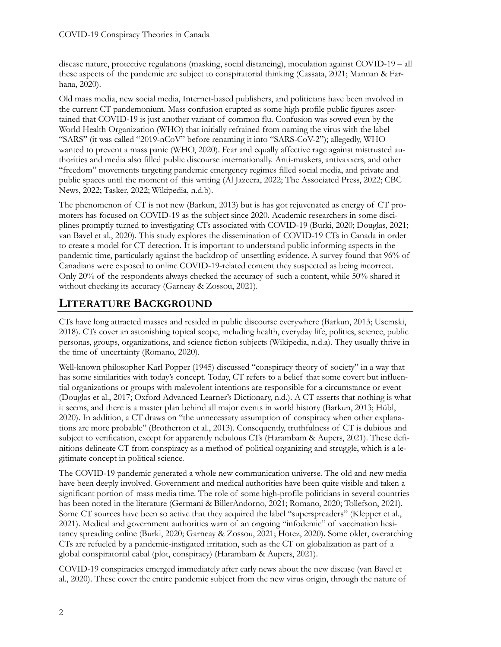disease nature, protective regulations (masking, social distancing), inoculation against COVID-19 – all these aspects of the pandemic are subject to conspiratorial thinking (Cassata, 2021; Mannan & Farhana, 2020).

Old mass media, new social media, Internet-based publishers, and politicians have been involved in the current CT pandemonium. Mass confusion erupted as some high profile public figures ascertained that COVID-19 is just another variant of common flu. Confusion was sowed even by the World Health Organization (WHO) that initially refrained from naming the virus with the label "SARS" (it was called "2019-nCoV" before renaming it into "SARS-CoV-2"); allegedly, WHO wanted to prevent a mass panic (WHO, 2020). Fear and equally affective rage against mistrusted authorities and media also filled public discourse internationally. Anti-maskers, antivaxxers, and other "freedom" movements targeting pandemic emergency regimes filled social media, and private and public spaces until the moment of this writing (Al Jazeera, 2022; The Associated Press, 2022; CBC News, 2022; Tasker, 2022; Wikipedia, n.d.b).

The phenomenon of CT is not new (Barkun, 2013) but is has got rejuvenated as energy of CT promoters has focused on COVID-19 as the subject since 2020. Academic researchers in some disciplines promptly turned to investigating CTs associated with COVID-19 (Burki, 2020; Douglas, 2021; van Bavel et al., 2020). This study explores the dissemination of COVID-19 CTs in Canada in order to create a model for CT detection. It is important to understand public informing aspects in the pandemic time, particularly against the backdrop of unsettling evidence. A survey found that 96% of Canadians were exposed to online COVID-19-related content they suspected as being incorrect. Only 20% of the respondents always checked the accuracy of such a content, while 50% shared it without checking its accuracy (Garneay & Zossou, 2021).

## **LITERATURE BACKGROUND**

CTs have long attracted masses and resided in public discourse everywhere (Barkun, 2013; Uscinski, 2018). CTs cover an astonishing topical scope, including health, everyday life, politics, science, public personas, groups, organizations, and science fiction subjects (Wikipedia, n.d.a). They usually thrive in the time of uncertainty (Romano, 2020).

Well-known philosopher Karl Popper (1945) discussed "conspiracy theory of society" in a way that has some similarities with today's concept. Today, CT refers to a belief that some covert but influential organizations or groups with malevolent intentions are responsible for a circumstance or event (Douglas et al., 2017; Oxford Advanced Learner's Dictionary, n.d.). A CT asserts that nothing is what it seems, and there is a master plan behind all major events in world history (Barkun, 2013; Hübl, 2020). In addition, a CT draws on "the unnecessary assumption of conspiracy when other explanations are more probable" (Brotherton et al., 2013). Consequently, truthfulness of CT is dubious and subject to verification, except for apparently nebulous CTs (Harambam & Aupers, 2021). These definitions delineate CT from conspiracy as a method of political organizing and struggle, which is a legitimate concept in political science.

The COVID-19 pandemic generated a whole new communication universe. The old and new media have been deeply involved. Government and medical authorities have been quite visible and taken a significant portion of mass media time. The role of some high-profile politicians in several countries has been noted in the literature (Germani & BillerAndorno, 2021; Romano, 2020; Tollefson, 2021). Some CT sources have been so active that they acquired the label "superspreaders" (Klepper et al., 2021). Medical and government authorities warn of an ongoing "infodemic" of vaccination hesitancy spreading online (Burki, 2020; Garneay & Zossou, 2021; Hotez, 2020). Some older, overarching CTs are refueled by a pandemic-instigated irritation, such as the CT on globalization as part of a global conspiratorial cabal (plot, conspiracy) (Harambam & Aupers, 2021).

COVID-19 conspiracies emerged immediately after early news about the new disease (van Bavel et al., 2020). These cover the entire pandemic subject from the new virus origin, through the nature of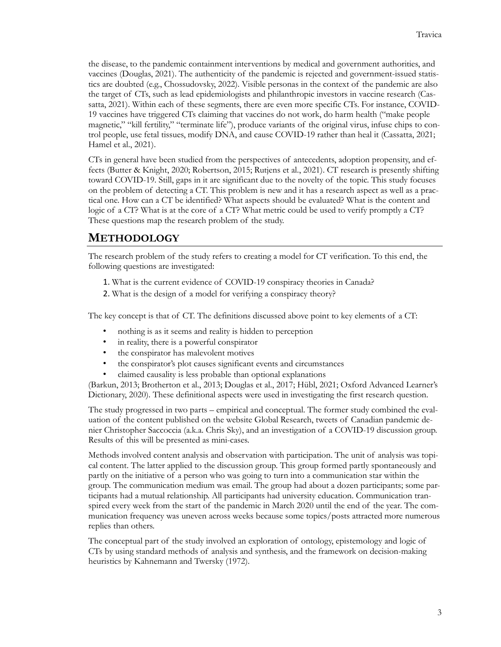the disease, to the pandemic containment interventions by medical and government authorities, and vaccines (Douglas, 2021). The authenticity of the pandemic is rejected and government-issued statistics are doubted (e.g., Chossudovsky, 2022). Visible personas in the context of the pandemic are also the target of CTs, such as lead epidemiologists and philanthropic investors in vaccine research (Cassatta, 2021). Within each of these segments, there are even more specific CTs. For instance, COVID-19 vaccines have triggered CTs claiming that vaccines do not work, do harm health ("make people magnetic," "kill fertility," "terminate life"), produce variants of the original virus, infuse chips to control people, use fetal tissues, modify DNA, and cause COVID-19 rather than heal it (Cassatta, 2021; Hamel et al., 2021).

CTs in general have been studied from the perspectives of antecedents, adoption propensity, and effects (Butter & Knight, 2020; Robertson, 2015; Rutjens et al., 2021). CT research is presently shifting toward COVID-19. Still, gaps in it are significant due to the novelty of the topic. This study focuses on the problem of detecting a CT. This problem is new and it has a research aspect as well as a practical one. How can a CT be identified? What aspects should be evaluated? What is the content and logic of a CT? What is at the core of a CT? What metric could be used to verify promptly a CT? These questions map the research problem of the study.

#### **METHODOLOGY**

The research problem of the study refers to creating a model for CT verification. To this end, the following questions are investigated:

- 1. What is the current evidence of COVID-19 conspiracy theories in Canada?
- 2. What is the design of a model for verifying a conspiracy theory?

The key concept is that of CT. The definitions discussed above point to key elements of a CT:

- nothing is as it seems and reality is hidden to perception
- in reality, there is a powerful conspirator
- the conspirator has malevolent motives
- the conspirator's plot causes significant events and circumstances
- claimed causality is less probable than optional explanations

(Barkun, 2013; Brotherton et al., 2013; Douglas et al., 2017; Hübl, 2021; Oxford Advanced Learner's Dictionary, 2020). These definitional aspects were used in investigating the first research question.

The study progressed in two parts – empirical and conceptual. The former study combined the evaluation of the content published on the website Global Research, tweets of Canadian pandemic denier Christopher Saccoccia (a.k.a. Chris Sky), and an investigation of a COVID-19 discussion group. Results of this will be presented as mini-cases.

Methods involved content analysis and observation with participation. The unit of analysis was topical content. The latter applied to the discussion group. This group formed partly spontaneously and partly on the initiative of a person who was going to turn into a communication star within the group. The communication medium was email. The group had about a dozen participants; some participants had a mutual relationship. All participants had university education. Communication transpired every week from the start of the pandemic in March 2020 until the end of the year. The communication frequency was uneven across weeks because some topics/posts attracted more numerous replies than others.

The conceptual part of the study involved an exploration of ontology, epistemology and logic of CTs by using standard methods of analysis and synthesis, and the framework on decision-making heuristics by Kahnemann and Twersky (1972).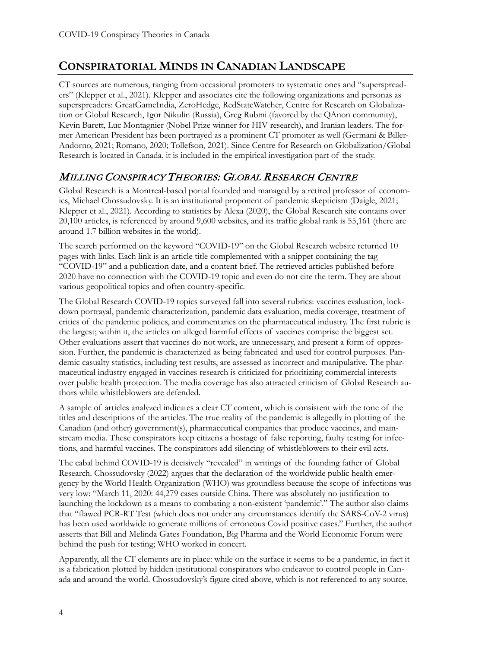## **CONSPIRATORIAL MINDS IN CANADIAN LANDSCAPE**

CT sources are numerous, ranging from occasional promoters to systematic ones and "superspreaders" (Klepper et al., 2021). Klepper and associates cite the following organizations and personas as superspreaders: GreatGameIndia, ZeroHedge, RedStateWatcher, Centre for Research on Globalization or Global Research, Igor Nikulin (Russia), Greg Rubini (favored by the QAnon community), Kevin Barett, Luc Montagnier (Nobel Prize winner for HIV research), and Iranian leaders. The former American President has been portrayed as a prominent CT promoter as well (Germani & Biller-Andorno, 2021; Romano, 2020; Tollefson, 2021). Since Centre for Research on Globalization/Global Research is located in Canada, it is included in the empirical investigation part of the study.

#### MILLING CONSPIRACY THEORIES: GLOBAL RESEARCH CENTRE

Global Research is a Montreal-based portal founded and managed by a retired professor of economics, Michael Chossudovsky. It is an institutional proponent of pandemic skepticism (Daigle, 2021; Klepper et al., 2021). According to statistics by Alexa (2020), the Global Research site contains over 20,100 articles, is referenced by around 9,600 websites, and its traffic global rank is 55,161 (there are around 1.7 billion websites in the world).

The search performed on the keyword "COVID-19" on the Global Research website returned 10 pages with links. Each link is an article title complemented with a snippet containing the tag "COVID-19" and a publication date, and a content brief. The retrieved articles published before 2020 have no connection with the COVID-19 topic and even do not cite the term. They are about various geopolitical topics and often country-specific.

The Global Research COVID-19 topics surveyed fall into several rubrics: vaccines evaluation, lockdown portrayal, pandemic characterization, pandemic data evaluation, media coverage, treatment of critics of the pandemic policies, and commentaries on the pharmaceutical industry. The first rubric is the largest; within it, the articles on alleged harmful effects of vaccines comprise the biggest set. Other evaluations assert that vaccines do not work, are unnecessary, and present a form of oppression. Further, the pandemic is characterized as being fabricated and used for control purposes. Pandemic casualty statistics, including test results, are assessed as incorrect and manipulative. The pharmaceutical industry engaged in vaccines research is criticized for prioritizing commercial interests over public health protection. The media coverage has also attracted criticism of Global Research authors while whistleblowers are defended.

A sample of articles analyzed indicates a clear CT content, which is consistent with the tone of the titles and descriptions of the articles. The true reality of the pandemic is allegedly in plotting of the Canadian (and other) government(s), pharmaceutical companies that produce vaccines, and mainstream media. These conspirators keep citizens a hostage of false reporting, faulty testing for infections, and harmful vaccines. The conspirators add silencing of whistleblowers to their evil acts.

The cabal behind COVID-19 is decisively "revealed" in writings of the founding father of Global Research. Chossudovsky (2022) argues that the declaration of the worldwide public health emergency by the World Health Organization (WHO) was groundless because the scope of infections was very low: "March 11, 2020: 44,279 cases outside China. There was absolutely no justification to launching the lockdown as a means to combating a non-existent 'pandemic'." The author also claims that "flawed PCR-RT Test (which does not under any circumstances identify the SARS-CoV-2 virus) has been used worldwide to generate millions of erroneous Covid positive cases." Further, the author asserts that Bill and Melinda Gates Foundation, Big Pharma and the World Economic Forum were behind the push for testing; WHO worked in concert.

Apparently, all the CT elements are in place: while on the surface it seems to be a pandemic, in fact it is a fabrication plotted by hidden institutional conspirators who endeavor to control people in Canada and around the world. Chossudovsky's figure cited above, which is not referenced to any source,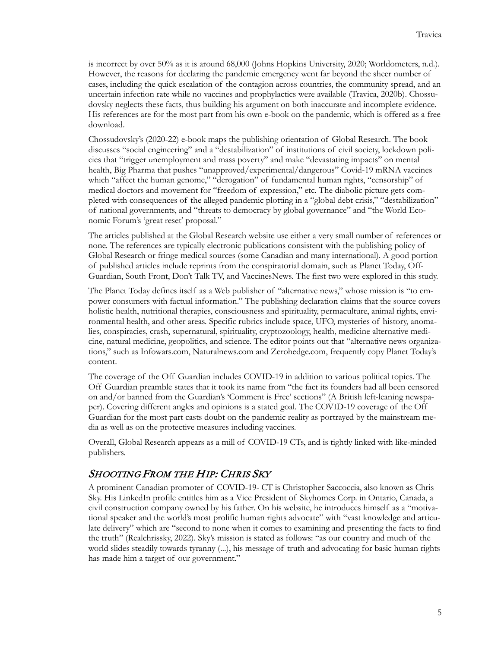is incorrect by over 50% as it is around 68,000 (Johns Hopkins University, 2020; Worldometers, n.d.). However, the reasons for declaring the pandemic emergency went far beyond the sheer number of cases, including the quick escalation of the contagion across countries, the community spread, and an uncertain infection rate while no vaccines and prophylactics were available (Travica, 2020b). Chossudovsky neglects these facts, thus building his argument on both inaccurate and incomplete evidence. His references are for the most part from his own e-book on the pandemic, which is offered as a free download.

Chossudovsky's (2020-22) e-book maps the publishing orientation of Global Research. The book discusses "social engineering" and a "destabilization" of institutions of civil society, lockdown policies that "trigger unemployment and mass poverty" and make "devastating impacts" on mental health, Big Pharma that pushes "unapproved/experimental/dangerous" Covid-19 mRNA vaccines which "affect the human genome," "derogation" of fundamental human rights, "censorship" of medical doctors and movement for "freedom of expression," etc. The diabolic picture gets completed with consequences of the alleged pandemic plotting in a "global debt crisis," "destabilization" of national governments, and "threats to democracy by global governance" and "the World Economic Forum's 'great reset' proposal."

The articles published at the Global Research website use either a very small number of references or none. The references are typically electronic publications consistent with the publishing policy of Global Research or fringe medical sources (some Canadian and many international). A good portion of published articles include reprints from the conspiratorial domain, such as Planet Today, Off-Guardian, South Front, Don't Talk TV, and VaccinesNews. The first two were explored in this study.

The Planet Today defines itself as a Web publisher of "alternative news," whose mission is "to empower consumers with factual information." The publishing declaration claims that the source covers holistic health, nutritional therapies, consciousness and spirituality, permaculture, animal rights, environmental health, and other areas. Specific rubrics include space, UFO, mysteries of history, anomalies, conspiracies, crash, supernatural, spirituality, cryptozoology, health, medicine alternative medicine, natural medicine, geopolitics, and science. The editor points out that "alternative news organizations," such as Infowars.com, Naturalnews.com and Zerohedge.com, frequently copy Planet Today's content.

The coverage of the Off Guardian includes COVID-19 in addition to various political topics. The Off Guardian preamble states that it took its name from "the fact its founders had all been censored on and/or banned from the Guardian's 'Comment is Free' sections" (A British left-leaning newspaper). Covering different angles and opinions is a stated goal. The COVID-19 coverage of the Off Guardian for the most part casts doubt on the pandemic reality as portrayed by the mainstream media as well as on the protective measures including vaccines.

Overall, Global Research appears as a mill of COVID-19 CTs, and is tightly linked with like-minded publishers.

#### SHOOTING FROM THE HIP: CHRIS SKY

A prominent Canadian promoter of COVID-19- CT is Christopher Saccoccia, also known as Chris Sky. His LinkedIn profile entitles him as a Vice President of Skyhomes Corp. in Ontario, Canada, a civil construction company owned by his father. On his website, he introduces himself as a "motivational speaker and the world's most prolific human rights advocate" with "vast knowledge and articulate delivery" which are "second to none when it comes to examining and presenting the facts to find the truth" (Realchrissky, 2022). Sky's mission is stated as follows: "as our country and much of the world slides steadily towards tyranny (...), his message of truth and advocating for basic human rights has made him a target of our government."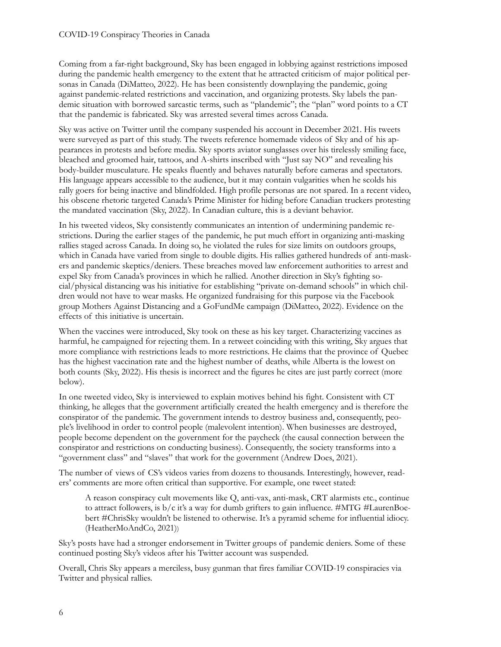Coming from a far-right background, Sky has been engaged in lobbying against restrictions imposed during the pandemic health emergency to the extent that he attracted criticism of major political personas in Canada (DiMatteo, 2022). He has been consistently downplaying the pandemic, going against pandemic-related restrictions and vaccination, and organizing protests. Sky labels the pandemic situation with borrowed sarcastic terms, such as "plandemic"; the "plan" word points to a CT that the pandemic is fabricated. Sky was arrested several times across Canada.

Sky was active on Twitter until the company suspended his account in December 2021. His tweets were surveyed as part of this study. The tweets reference homemade videos of Sky and of his appearances in protests and before media. Sky sports aviator sunglasses over his tirelessly smiling face, bleached and groomed hair, tattoos, and A-shirts inscribed with "Just say NO" and revealing his body-builder musculature. He speaks fluently and behaves naturally before cameras and spectators. His language appears accessible to the audience, but it may contain vulgarities when he scolds his rally goers for being inactive and blindfolded. High profile personas are not spared. In a recent video, his obscene rhetoric targeted Canada's Prime Minister for hiding before Canadian truckers protesting the mandated vaccination (Sky, 2022). In Canadian culture, this is a deviant behavior.

In his tweeted videos, Sky consistently communicates an intention of undermining pandemic restrictions. During the earlier stages of the pandemic, he put much effort in organizing anti-masking rallies staged across Canada. In doing so, he violated the rules for size limits on outdoors groups, which in Canada have varied from single to double digits. His rallies gathered hundreds of anti-maskers and pandemic skeptics/deniers. These breaches moved law enforcement authorities to arrest and expel Sky from Canada's provinces in which he rallied. Another direction in Sky's fighting social/physical distancing was his initiative for establishing "private on-demand schools" in which children would not have to wear masks. He organized fundraising for this purpose via the Facebook group Mothers Against Distancing and a GoFundMe campaign (DiMatteo, 2022). Evidence on the effects of this initiative is uncertain.

When the vaccines were introduced, Sky took on these as his key target. Characterizing vaccines as harmful, he campaigned for rejecting them. In a retweet coinciding with this writing, Sky argues that more compliance with restrictions leads to more restrictions. He claims that the province of Quebec has the highest vaccination rate and the highest number of deaths, while Alberta is the lowest on both counts (Sky, 2022). His thesis is incorrect and the figures he cites are just partly correct (more below).

In one tweeted video, Sky is interviewed to explain motives behind his fight. Consistent with CT thinking, he alleges that the government artificially created the health emergency and is therefore the conspirator of the pandemic. The government intends to destroy business and, consequently, people's livelihood in order to control people (malevolent intention). When businesses are destroyed, people become dependent on the government for the paycheck (the causal connection between the conspirator and restrictions on conducting business). Consequently, the society transforms into a "government class" and "slaves" that work for the government (Andrew Does, 2021).

The number of views of CS's videos varies from dozens to thousands. Interestingly, however, readers' comments are more often critical than supportive. For example, one tweet stated:

A reason conspiracy cult movements like Q, anti-vax, anti-mask, CRT alarmists etc., continue to attract followers, is b/c it's a way for dumb grifters to gain influence. #MTG #LaurenBoebert #ChrisSky wouldn't be listened to otherwise. It's a pyramid scheme for influential idiocy. (HeatherMoAndCo, 2021))

Sky's posts have had a stronger endorsement in Twitter groups of pandemic deniers. Some of these continued posting Sky's videos after his Twitter account was suspended.

Overall, Chris Sky appears a merciless, busy gunman that fires familiar COVID-19 conspiracies via Twitter and physical rallies.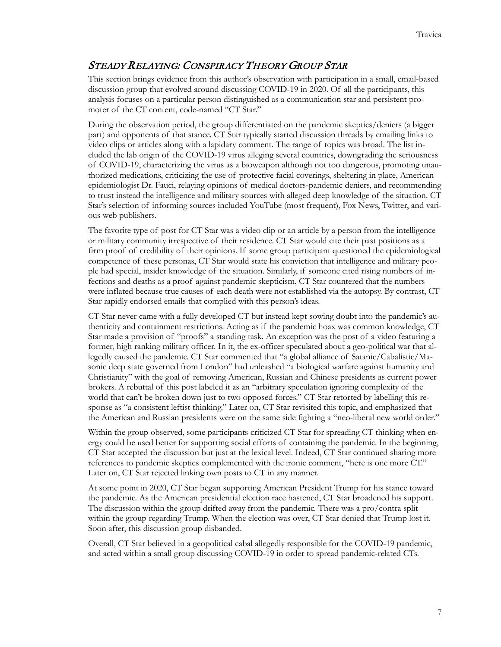#### STEADY RELAYING: CONSPIRACY THEORY GROUP STAR

This section brings evidence from this author's observation with participation in a small, email-based discussion group that evolved around discussing COVID-19 in 2020. Of all the participants, this analysis focuses on a particular person distinguished as a communication star and persistent promoter of the CT content, code-named "CT Star."

During the observation period, the group differentiated on the pandemic skeptics/deniers (a bigger part) and opponents of that stance. CT Star typically started discussion threads by emailing links to video clips or articles along with a lapidary comment. The range of topics was broad. The list included the lab origin of the COVID-19 virus alleging several countries, downgrading the seriousness of COVID-19, characterizing the virus as a bioweapon although not too dangerous, promoting unauthorized medications, criticizing the use of protective facial coverings, sheltering in place, American epidemiologist Dr. Fauci, relaying opinions of medical doctors-pandemic deniers, and recommending to trust instead the intelligence and military sources with alleged deep knowledge of the situation. CT Star's selection of informing sources included YouTube (most frequent), Fox News, Twitter, and various web publishers.

The favorite type of post for CT Star was a video clip or an article by a person from the intelligence or military community irrespective of their residence. CT Star would cite their past positions as a firm proof of credibility of their opinions. If some group participant questioned the epidemiological competence of these personas, CT Star would state his conviction that intelligence and military people had special, insider knowledge of the situation. Similarly, if someone cited rising numbers of infections and deaths as a proof against pandemic skepticism, CT Star countered that the numbers were inflated because true causes of each death were not established via the autopsy. By contrast, CT Star rapidly endorsed emails that complied with this person's ideas.

CT Star never came with a fully developed CT but instead kept sowing doubt into the pandemic's authenticity and containment restrictions. Acting as if the pandemic hoax was common knowledge, CT Star made a provision of "proofs" a standing task. An exception was the post of a video featuring a former, high ranking military officer. In it, the ex-officer speculated about a geo-political war that allegedly caused the pandemic. CT Star commented that "a global alliance of Satanic/Cabalistic/Masonic deep state governed from London" had unleashed "a biological warfare against humanity and Christianity" with the goal of removing American, Russian and Chinese presidents as current power brokers. A rebuttal of this post labeled it as an "arbitrary speculation ignoring complexity of the world that can't be broken down just to two opposed forces." CT Star retorted by labelling this response as "a consistent leftist thinking." Later on, CT Star revisited this topic, and emphasized that the American and Russian presidents were on the same side fighting a "neo-liberal new world order."

Within the group observed, some participants criticized CT Star for spreading CT thinking when energy could be used better for supporting social efforts of containing the pandemic. In the beginning, CT Star accepted the discussion but just at the lexical level. Indeed, CT Star continued sharing more references to pandemic skeptics complemented with the ironic comment, "here is one more CT." Later on, CT Star rejected linking own posts to CT in any manner.

At some point in 2020, CT Star began supporting American President Trump for his stance toward the pandemic. As the American presidential election race hastened, CT Star broadened his support. The discussion within the group drifted away from the pandemic. There was a pro/contra split within the group regarding Trump. When the election was over, CT Star denied that Trump lost it. Soon after, this discussion group disbanded.

Overall, CT Star believed in a geopolitical cabal allegedly responsible for the COVID-19 pandemic, and acted within a small group discussing COVID-19 in order to spread pandemic-related CTs.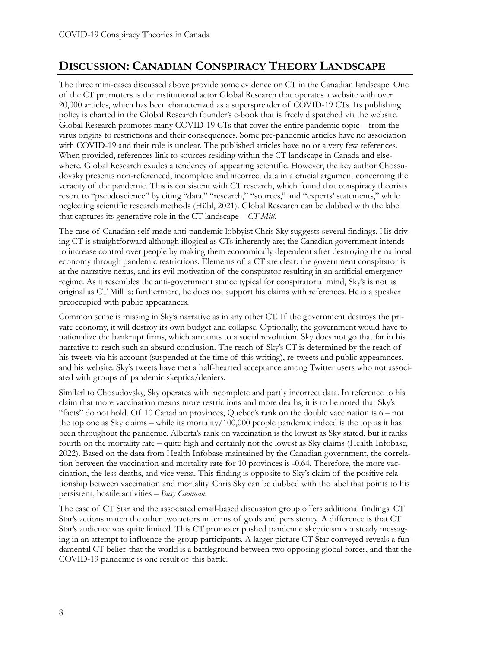## **DISCUSSION: CANADIAN CONSPIRACY THEORY LANDSCAPE**

The three mini-cases discussed above provide some evidence on CT in the Canadian landscape. One of the CT promoters is the institutional actor Global Research that operates a website with over 20,000 articles, which has been characterized as a superspreader of COVID-19 CTs. Its publishing policy is charted in the Global Research founder's e-book that is freely dispatched via the website. Global Research promotes many COVID-19 CTs that cover the entire pandemic topic – from the virus origins to restrictions and their consequences. Some pre-pandemic articles have no association with COVID-19 and their role is unclear. The published articles have no or a very few references. When provided, references link to sources residing within the CT landscape in Canada and elsewhere. Global Research exudes a tendency of appearing scientific. However, the key author Chossudovsky presents non-referenced, incomplete and incorrect data in a crucial argument concerning the veracity of the pandemic. This is consistent with CT research, which found that conspiracy theorists resort to "pseudoscience" by citing "data," "research," "sources," and "experts' statements," while neglecting scientific research methods (Hübl, 2021). Global Research can be dubbed with the label that captures its generative role in the CT landscape – *CT Mill*.

The case of Canadian self-made anti-pandemic lobbyist Chris Sky suggests several findings. His driving CT is straightforward although illogical as CTs inherently are; the Canadian government intends to increase control over people by making them economically dependent after destroying the national economy through pandemic restrictions. Elements of a CT are clear: the government conspirator is at the narrative nexus, and its evil motivation of the conspirator resulting in an artificial emergency regime. As it resembles the anti-government stance typical for conspiratorial mind, Sky's is not as original as CT Mill is; furthermore, he does not support his claims with references. He is a speaker preoccupied with public appearances.

Common sense is missing in Sky's narrative as in any other CT. If the government destroys the private economy, it will destroy its own budget and collapse. Optionally, the government would have to nationalize the bankrupt firms, which amounts to a social revolution. Sky does not go that far in his narrative to reach such an absurd conclusion. The reach of Sky's CT is determined by the reach of his tweets via his account (suspended at the time of this writing), re-tweets and public appearances, and his website. Sky's tweets have met a half-hearted acceptance among Twitter users who not associated with groups of pandemic skeptics/deniers.

Similarl to Chosudovsky, Sky operates with incomplete and partly incorrect data. In reference to his claim that more vaccination means more restrictions and more deaths, it is to be noted that Sky's "facts" do not hold. Of 10 Canadian provinces, Quebec's rank on the double vaccination is 6 – not the top one as Sky claims – while its mortality/100,000 people pandemic indeed is the top as it has been throughout the pandemic. Alberta's rank on vaccination is the lowest as Sky stated, but it ranks fourth on the mortality rate – quite high and certainly not the lowest as Sky claims (Health Infobase, 2022). Based on the data from Health Infobase maintained by the Canadian government, the correlation between the vaccination and mortality rate for 10 provinces is -0.64. Therefore, the more vaccination, the less deaths, and vice versa. This finding is opposite to Sky's claim of the positive relationship between vaccination and mortality. Chris Sky can be dubbed with the label that points to his persistent, hostile activities – *Busy Gunman*.

The case of CT Star and the associated email-based discussion group offers additional findings. CT Star's actions match the other two actors in terms of goals and persistency. A difference is that CT Star's audience was quite limited. This CT promoter pushed pandemic skepticism via steady messaging in an attempt to influence the group participants. A larger picture CT Star conveyed reveals a fundamental CT belief that the world is a battleground between two opposing global forces, and that the COVID-19 pandemic is one result of this battle.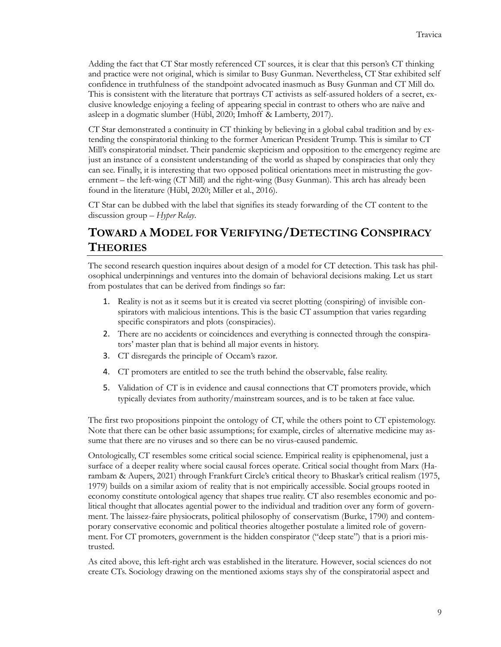Adding the fact that CT Star mostly referenced CT sources, it is clear that this person's CT thinking and practice were not original, which is similar to Busy Gunman. Nevertheless, CT Star exhibited self confidence in truthfulness of the standpoint advocated inasmuch as Busy Gunman and CT Mill do. This is consistent with the literature that portrays CT activists as self-assured holders of a secret, exclusive knowledge enjoying a feeling of appearing special in contrast to others who are naïve and asleep in a dogmatic slumber (Hübl, 2020; Imhoff & Lamberty, 2017).

CT Star demonstrated a continuity in CT thinking by believing in a global cabal tradition and by extending the conspiratorial thinking to the former American President Trump. This is similar to CT Mill's conspiratorial mindset. Their pandemic skepticism and opposition to the emergency regime are just an instance of a consistent understanding of the world as shaped by conspiracies that only they can see. Finally, it is interesting that two opposed political orientations meet in mistrusting the government – the left-wing (CT Mill) and the right-wing (Busy Gunman). This arch has already been found in the literature (Hübl, 2020; Miller et al., 2016).

CT Star can be dubbed with the label that signifies its steady forwarding of the CT content to the discussion group – *Hyper Relay*.

## **TOWARD A MODEL FOR VERIFYING/DETECTING CONSPIRACY THEORIES**

The second research question inquires about design of a model for CT detection. This task has philosophical underpinnings and ventures into the domain of behavioral decisions making. Let us start from postulates that can be derived from findings so far:

- 1. Reality is not as it seems but it is created via secret plotting (conspiring) of invisible conspirators with malicious intentions. This is the basic CT assumption that varies regarding specific conspirators and plots (conspiracies).
- 2. There are no accidents or coincidences and everything is connected through the conspirators' master plan that is behind all major events in history.
- 3. CT disregards the principle of Occam's razor.
- 4. CT promoters are entitled to see the truth behind the observable, false reality.
- 5. Validation of CT is in evidence and causal connections that CT promoters provide, which typically deviates from authority/mainstream sources, and is to be taken at face value.

The first two propositions pinpoint the ontology of CT, while the others point to CT epistemology. Note that there can be other basic assumptions; for example, circles of alternative medicine may assume that there are no viruses and so there can be no virus-caused pandemic.

Ontologically, CT resembles some critical social science. Empirical reality is epiphenomenal, just a surface of a deeper reality where social causal forces operate. Critical social thought from Marx (Harambam & Aupers, 2021) through Frankfurt Circle's critical theory to Bhaskar's critical realism (1975, 1979) builds on a similar axiom of reality that is not empirically accessible. Social groups rooted in economy constitute ontological agency that shapes true reality. CT also resembles economic and political thought that allocates agential power to the individual and tradition over any form of government. The laissez-faire physiocrats, political philosophy of conservatism (Burke, 1790) and contemporary conservative economic and political theories altogether postulate a limited role of government. For CT promoters, government is the hidden conspirator ("deep state") that is a priori mistrusted.

As cited above, this left-right arch was established in the literature. However, social sciences do not create CTs. Sociology drawing on the mentioned axioms stays shy of the conspiratorial aspect and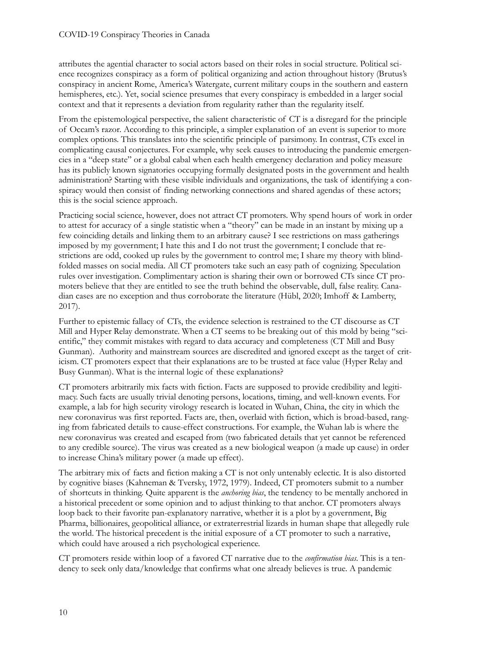attributes the agential character to social actors based on their roles in social structure. Political science recognizes conspiracy as a form of political organizing and action throughout history (Brutus's conspiracy in ancient Rome, America's Watergate, current military coups in the southern and eastern hemispheres, etc.). Yet, social science presumes that every conspiracy is embedded in a larger social context and that it represents a deviation from regularity rather than the regularity itself.

From the epistemological perspective, the salient characteristic of CT is a disregard for the principle of Occam's razor. According to this principle, a simpler explanation of an event is superior to more complex options. This translates into the scientific principle of parsimony. In contrast, CTs excel in complicating causal conjectures. For example, why seek causes to introducing the pandemic emergencies in a "deep state" or a global cabal when each health emergency declaration and policy measure has its publicly known signatories occupying formally designated posts in the government and health administration? Starting with these visible individuals and organizations, the task of identifying a conspiracy would then consist of finding networking connections and shared agendas of these actors; this is the social science approach.

Practicing social science, however, does not attract CT promoters. Why spend hours of work in order to attest for accuracy of a single statistic when a "theory" can be made in an instant by mixing up a few coinciding details and linking them to an arbitrary cause? I see restrictions on mass gatherings imposed by my government; I hate this and I do not trust the government; I conclude that restrictions are odd, cooked up rules by the government to control me; I share my theory with blindfolded masses on social media. All CT promoters take such an easy path of cognizing. Speculation rules over investigation. Complimentary action is sharing their own or borrowed CTs since CT promoters believe that they are entitled to see the truth behind the observable, dull, false reality. Canadian cases are no exception and thus corroborate the literature (Hübl, 2020; Imhoff & Lamberty, 2017).

Further to epistemic fallacy of CTs, the evidence selection is restrained to the CT discourse as CT Mill and Hyper Relay demonstrate. When a CT seems to be breaking out of this mold by being "scientific," they commit mistakes with regard to data accuracy and completeness (CT Mill and Busy Gunman). Authority and mainstream sources are discredited and ignored except as the target of criticism. CT promoters expect that their explanations are to be trusted at face value (Hyper Relay and Busy Gunman). What is the internal logic of these explanations?

CT promoters arbitrarily mix facts with fiction. Facts are supposed to provide credibility and legitimacy. Such facts are usually trivial denoting persons, locations, timing, and well-known events. For example, a lab for high security virology research is located in Wuhan, China, the city in which the new coronavirus was first reported. Facts are, then, overlaid with fiction, which is broad-based, ranging from fabricated details to cause-effect constructions. For example, the Wuhan lab is where the new coronavirus was created and escaped from (two fabricated details that yet cannot be referenced to any credible source). The virus was created as a new biological weapon (a made up cause) in order to increase China's military power (a made up effect).

The arbitrary mix of facts and fiction making a CT is not only untenably eclectic. It is also distorted by cognitive biases (Kahneman & Tversky, 1972, 1979). Indeed, CT promoters submit to a number of shortcuts in thinking. Quite apparent is the *anchoring bias*, the tendency to be mentally anchored in a historical precedent or some opinion and to adjust thinking to that anchor. CT promoters always loop back to their favorite pan-explanatory narrative, whether it is a plot by a government, Big Pharma, billionaires, geopolitical alliance, or extraterrestrial lizards in human shape that allegedly rule the world. The historical precedent is the initial exposure of a CT promoter to such a narrative, which could have aroused a rich psychological experience.

CT promoters reside within loop of a favored CT narrative due to the *confirmation bias*. This is a tendency to seek only data/knowledge that confirms what one already believes is true. A pandemic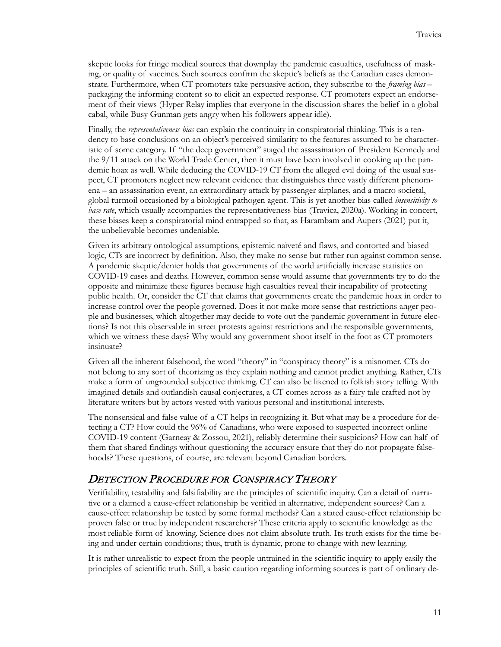skeptic looks for fringe medical sources that downplay the pandemic casualties, usefulness of masking, or quality of vaccines. Such sources confirm the skeptic's beliefs as the Canadian cases demonstrate. Furthermore, when CT promoters take persuasive action, they subscribe to the *framing bias* – packaging the informing content so to elicit an expected response. CT promoters expect an endorsement of their views (Hyper Relay implies that everyone in the discussion shares the belief in a global cabal, while Busy Gunman gets angry when his followers appear idle).

Finally, the *representativeness bias* can explain the continuity in conspiratorial thinking. This is a tendency to base conclusions on an object's perceived similarity to the features assumed to be characteristic of some category. If "the deep government" staged the assassination of President Kennedy and the 9/11 attack on the World Trade Center, then it must have been involved in cooking up the pandemic hoax as well. While deducing the COVID-19 CT from the alleged evil doing of the usual suspect, CT promoters neglect new relevant evidence that distinguishes three vastly different phenomena – an assassination event, an extraordinary attack by passenger airplanes, and a macro societal, global turmoil occasioned by a biological pathogen agent. This is yet another bias called *insensitivity to base rate*, which usually accompanies the representativeness bias (Travica, 2020a). Working in concert, these biases keep a conspiratorial mind entrapped so that, as Harambam and Aupers (2021) put it, the unbelievable becomes undeniable.

Given its arbitrary ontological assumptions, epistemic naïveté and flaws, and contorted and biased logic, CTs are incorrect by definition. Also, they make no sense but rather run against common sense. A pandemic skeptic/denier holds that governments of the world artificially increase statistics on COVID-19 cases and deaths. However, common sense would assume that governments try to do the opposite and minimize these figures because high casualties reveal their incapability of protecting public health. Or, consider the CT that claims that governments create the pandemic hoax in order to increase control over the people governed. Does it not make more sense that restrictions anger people and businesses, which altogether may decide to vote out the pandemic government in future elections? Is not this observable in street protests against restrictions and the responsible governments, which we witness these days? Why would any government shoot itself in the foot as CT promoters insinuate?

Given all the inherent falsehood, the word "theory" in "conspiracy theory" is a misnomer. CTs do not belong to any sort of theorizing as they explain nothing and cannot predict anything. Rather, CTs make a form of ungrounded subjective thinking. CT can also be likened to folkish story telling. With imagined details and outlandish causal conjectures, a CT comes across as a fairy tale crafted not by literature writers but by actors vested with various personal and institutional interests.

The nonsensical and false value of a CT helps in recognizing it. But what may be a procedure for detecting a CT? How could the 96% of Canadians, who were exposed to suspected incorrect online COVID-19 content (Garneay & Zossou, 2021), reliably determine their suspicions? How can half of them that shared findings without questioning the accuracy ensure that they do not propagate falsehoods? These questions, of course, are relevant beyond Canadian borders.

#### DETECTION PROCEDURE FOR CONSPIRACY THEORY

Verifiability, testability and falsifiability are the principles of scientific inquiry. Can a detail of narrative or a claimed a cause-effect relationship be verified in alternative, independent sources? Can a cause-effect relationship be tested by some formal methods? Can a stated cause-effect relationship be proven false or true by independent researchers? These criteria apply to scientific knowledge as the most reliable form of knowing. Science does not claim absolute truth. Its truth exists for the time being and under certain conditions; thus, truth is dynamic, prone to change with new learning.

It is rather unrealistic to expect from the people untrained in the scientific inquiry to apply easily the principles of scientific truth. Still, a basic caution regarding informing sources is part of ordinary de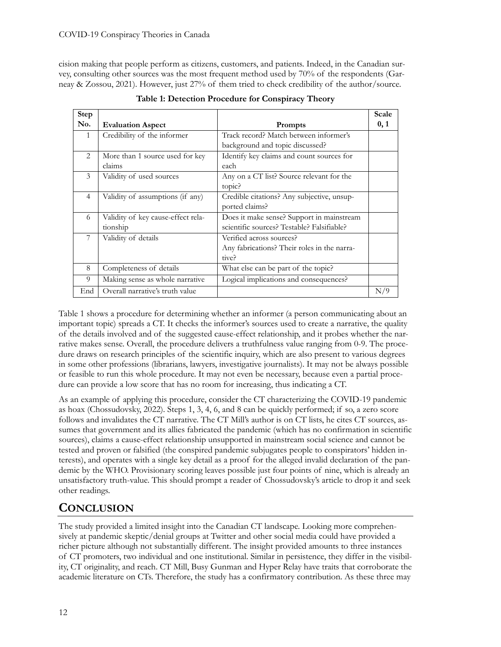cision making that people perform as citizens, customers, and patients. Indeed, in the Canadian survey, consulting other sources was the most frequent method used by 70% of the respondents (Garneay & Zossou, 2021). However, just 27% of them tried to check credibility of the author/source.

| <b>Step</b>    |                                    |                                             | Scale |
|----------------|------------------------------------|---------------------------------------------|-------|
| No.            | <b>Evaluation Aspect</b>           | <b>Prompts</b>                              | 0, 1  |
| $\mathbf{1}$   | Credibility of the informer        | Track record? Match between informer's      |       |
|                |                                    | background and topic discussed?             |       |
| $\mathfrak{D}$ | More than 1 source used for key    | Identify key claims and count sources for   |       |
|                | claims                             | each                                        |       |
| 3              | Validity of used sources           | Any on a CT list? Source relevant for the   |       |
|                |                                    | topic?                                      |       |
| $\overline{4}$ | Validity of assumptions (if any)   | Credible citations? Any subjective, unsup-  |       |
|                |                                    | ported claims?                              |       |
| 6              | Validity of key cause-effect rela- | Does it make sense? Support in mainstream   |       |
|                | tionship                           | scientific sources? Testable? Falsifiable?  |       |
| 7              | Validity of details                | Verified across sources?                    |       |
|                |                                    | Any fabrications? Their roles in the narra- |       |
|                |                                    | tive?                                       |       |
| 8              | Completeness of details            | What else can be part of the topic?         |       |
| 9              | Making sense as whole narrative    | Logical implications and consequences?      |       |
| End            | Overall narrative's truth value    |                                             | N/9   |

**Table 1: Detection Procedure for Conspiracy Theory**

Table 1 shows a procedure for determining whether an informer (a person communicating about an important topic) spreads a CT. It checks the informer's sources used to create a narrative, the quality of the details involved and of the suggested cause-effect relationship, and it probes whether the narrative makes sense. Overall, the procedure delivers a truthfulness value ranging from 0-9. The procedure draws on research principles of the scientific inquiry, which are also present to various degrees in some other professions (librarians, lawyers, investigative journalists). It may not be always possible or feasible to run this whole procedure. It may not even be necessary, because even a partial procedure can provide a low score that has no room for increasing, thus indicating a CT.

As an example of applying this procedure, consider the CT characterizing the COVID-19 pandemic as hoax (Chossudovsky, 2022). Steps 1, 3, 4, 6, and 8 can be quickly performed; if so, a zero score follows and invalidates the CT narrative. The CT Mill's author is on CT lists, he cites CT sources, assumes that government and its allies fabricated the pandemic (which has no confirmation in scientific sources), claims a cause-effect relationship unsupported in mainstream social science and cannot be tested and proven or falsified (the conspired pandemic subjugates people to conspirators' hidden interests), and operates with a single key detail as a proof for the alleged invalid declaration of the pandemic by the WHO. Provisionary scoring leaves possible just four points of nine, which is already an unsatisfactory truth-value. This should prompt a reader of Chossudovsky's article to drop it and seek other readings.

#### **CONCLUSION**

The study provided a limited insight into the Canadian CT landscape. Looking more comprehensively at pandemic skeptic/denial groups at Twitter and other social media could have provided a richer picture although not substantially different. The insight provided amounts to three instances of CT promoters, two individual and one institutional. Similar in persistence, they differ in the visibility, CT originality, and reach. CT Mill, Busy Gunman and Hyper Relay have traits that corroborate the academic literature on CTs. Therefore, the study has a confirmatory contribution. As these three may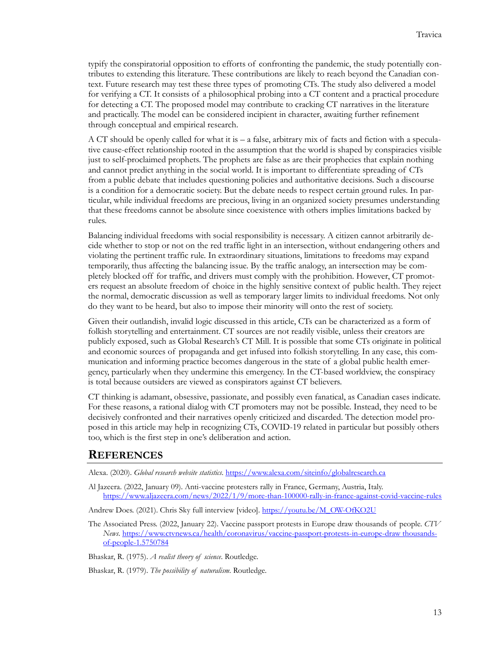typify the conspiratorial opposition to efforts of confronting the pandemic, the study potentially contributes to extending this literature. These contributions are likely to reach beyond the Canadian context. Future research may test these three types of promoting CTs. The study also delivered a model for verifying a CT. It consists of a philosophical probing into a CT content and a practical procedure for detecting a CT. The proposed model may contribute to cracking CT narratives in the literature and practically. The model can be considered incipient in character, awaiting further refinement through conceptual and empirical research.

A CT should be openly called for what it is – a false, arbitrary mix of facts and fiction with a speculative cause-effect relationship rooted in the assumption that the world is shaped by conspiracies visible just to self-proclaimed prophets. The prophets are false as are their prophecies that explain nothing and cannot predict anything in the social world. It is important to differentiate spreading of CTs from a public debate that includes questioning policies and authoritative decisions. Such a discourse is a condition for a democratic society. But the debate needs to respect certain ground rules. In particular, while individual freedoms are precious, living in an organized society presumes understanding that these freedoms cannot be absolute since coexistence with others implies limitations backed by rules.

Balancing individual freedoms with social responsibility is necessary. A citizen cannot arbitrarily decide whether to stop or not on the red traffic light in an intersection, without endangering others and violating the pertinent traffic rule. In extraordinary situations, limitations to freedoms may expand temporarily, thus affecting the balancing issue. By the traffic analogy, an intersection may be completely blocked off for traffic, and drivers must comply with the prohibition. However, CT promoters request an absolute freedom of choice in the highly sensitive context of public health. They reject the normal, democratic discussion as well as temporary larger limits to individual freedoms. Not only do they want to be heard, but also to impose their minority will onto the rest of society.

Given their outlandish, invalid logic discussed in this article, CTs can be characterized as a form of folkish storytelling and entertainment. CT sources are not readily visible, unless their creators are publicly exposed, such as Global Research's CT Mill. It is possible that some CTs originate in political and economic sources of propaganda and get infused into folkish storytelling. In any case, this communication and informing practice becomes dangerous in the state of a global public health emergency, particularly when they undermine this emergency. In the CT-based worldview, the conspiracy is total because outsiders are viewed as conspirators against CT believers.

CT thinking is adamant, obsessive, passionate, and possibly even fanatical, as Canadian cases indicate. For these reasons, a rational dialog with CT promoters may not be possible. Instead, they need to be decisively confronted and their narratives openly criticized and discarded. The detection model proposed in this article may help in recognizing CTs, COVID-19 related in particular but possibly others too, which is the first step in one's deliberation and action.

#### **REFERENCES**

Alexa. (2020). *Global research website statistics*[. https://www.alexa.com/siteinfo/globalresearch.ca](https://www.alexa.com/siteinfo/globalresearch.ca)

- Al Jazeera. (2022, January 09). Anti-vaccine protesters rally in France, Germany, Austria, Italy. [https://www.aljazeera.com/news/2022/1/9/more](https://www.aljazeera.com/news/2022/1/9/more-than-100000-rally-in-france-against-covid-vaccine-rules)-than-100000-rally-in-france-against-covid-vaccine-rules
- Andrew Does. (2021). Chris Sky full interview [video]. [https://youtu.be/M\\_OW](https://youtu.be/M_OW-OfKO2U)-OfKO2U
- The Associated Press. (2022, January 22). Vaccine passport protests in Europe draw thousands of people. *CTV News*[. https://www.ctvnews.ca/health/coronavirus/vaccine](https://www.ctvnews.ca/health/coronavirus/vaccine-passport-protests-in-europe-draw%20thousands-of-people-1.5750784)-passport-protests-in-europe-draw thousandsof-people-[1.5750784](https://www.ctvnews.ca/health/coronavirus/vaccine-passport-protests-in-europe-draw%20thousands-of-people-1.5750784)

Bhaskar, R. (1975). *A realist theory of science*. Routledge.

Bhaskar, R. (1979). *The possibility of naturalism*. Routledge.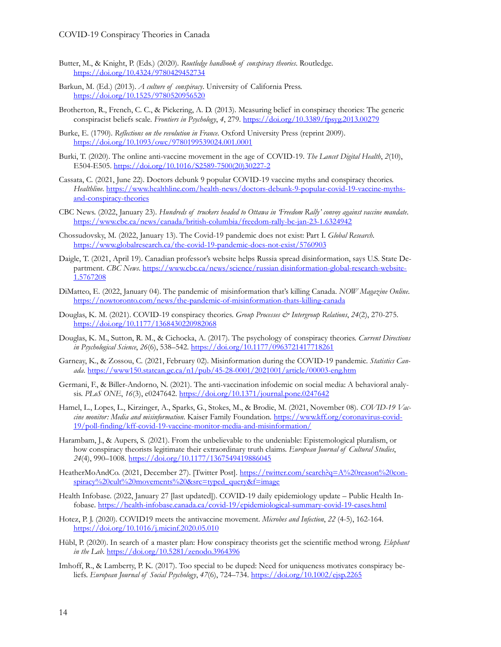- Butter, M., & Knight, P. (Eds.) (2020). *Routledge handbook of conspiracy theories*. Routledge. <https://doi.org/10.4324/9780429452734>
- Barkun, M. (Ed.) (2013). *A culture of conspiracy*. University of California Press. <https://doi.org/10.1525/9780520956520>
- Brotherton, R., French, C. C., & Pickering, A. D. (2013). Measuring belief in conspiracy theories: The generic conspiracist beliefs scale. *Frontiers in Psychology*, *4*, 279.<https://doi.org/10.3389/fpsyg.2013.00279>
- Burke, E. (1790). *Reflections on the revolution in France*. Oxford University Press (reprint 2009). <https://doi.org/10.1093/owc/9780199539024.001.0001>
- Burki, T. (2020). The online anti-vaccine movement in the age of COVID-19. *The Lancet Digital Health*, *2*(10), E504-E505. [https://doi.org/10.1016/S2589](https://doi.org/10.1016/S2589-7500(20)30227-2)-7500(20)30227-2
- Cassata, C. (2021, June 22). Doctors debunk 9 popular COVID-19 vaccine myths and conspiracy theories. *Healthline*. [https://www.healthline.com/health](https://www.healthline.com/health-news/doctors-debunk-9-popular-covid-19-vaccine-myths-and-conspiracy-theories)-news/doctors-debunk-9-popular-covid-19-vaccine-myths[and-conspiracy-theories](https://www.healthline.com/health-news/doctors-debunk-9-popular-covid-19-vaccine-myths-and-conspiracy-theories)
- CBC News. (2022, January 23). *Hundreds of truckers headed to Ottawa in 'Freedom Rally' convoy against vaccine mandate*. [https://www.cbc.ca/news/canada/british](https://www.cbc.ca/news/canada/british-columbia/freedom-rally-bc-jan-23-1.6324942)-columbia/freedom-rally-bc-jan-23-1.6324942
- Chossudovsky, M. (2022, January 13). The Covid-19 pandemic does not exist: Part I. *Global Research*. [https://www.globalresearch.ca/the](https://www.globalresearch.ca/the-covid-19-pandemic-does-not-exist/5760903)-covid-19-pandemic-does-not-exist/5760903
- Daigle, T. (2021, April 19). Canadian professor's website helps Russia spread disinformation, says U.S. State Department. *CBC News*. [https://www.cbc.ca/news/science/russian disinformation](https://www.cbc.ca/news/science/russian%20disinformation-global-research-website-1.5767208)-global-research-website-[1.5767208](https://www.cbc.ca/news/science/russian%20disinformation-global-research-website-1.5767208)
- DiMatteo, E. (2022, January 04). The pandemic of misinformation that's killing Canada. *NOW Magazine Online*. [https://nowtoronto.com/news/the](https://nowtoronto.com/news/the-pandemic-of-misinformation-thats-killing-canada)-pandemic-of-misinformation-thats-killing-canada
- Douglas, K. M. (2021). COVID-19 conspiracy theories. *Group Processes & Intergroup Relations*, *24*(2), 270-275. <https://doi.org/10.1177/1368430220982068>
- Douglas, K. M., Sutton, R. M., & Cichocka, A. (2017). The psychology of conspiracy theories. *Current Directions in Psychological Science*, *26*(6), 538–542.<https://doi.org/10.1177/0963721417718261>
- Garneay, K., & Zossou, C. (2021, February 02). Misinformation during the COVID-19 pandemic. *Statistics Canada*. [https://www150.statcan.gc.ca/n1/pub/45](https://www150.statcan.gc.ca/n1/pub/45-28-0001/2021001/article/00003-eng.htm)-28-0001/2021001/article/00003-eng.htm
- Germani, F., & Biller-Andorno, N. (2021). The anti-vaccination infodemic on social media: A behavioral analysis. *PLoS ONE*, *16*(3), e0247642.<https://doi.org/10.1371/journal.pone.0247642>
- Hamel, L., Lopes, L., Kirzinger, A., Sparks, G., Stokes, M., & Brodie, M. (2021, November 08). *COVID-19 Vaccine monitor: Media and misinformation*. Kaiser Family Foundation[. https://www.kff.org/coronavirus](https://www.kff.org/coronavirus-covid-19/poll-finding/kff-covid-19-vaccine-monitor-media-and-misinformation/)-covid-19/poll-finding/kff-covid-19-vaccine-monitor-media-and-[misinformation/](https://www.kff.org/coronavirus-covid-19/poll-finding/kff-covid-19-vaccine-monitor-media-and-misinformation/)
- Harambam, J., & Aupers, S. (2021). From the unbelievable to the undeniable: Epistemological pluralism, or how conspiracy theorists legitimate their extraordinary truth claims. *European Journal of Cultural Studies*, *24*(4), 990–1008.<https://doi.org/10.1177/1367549419886045>
- HeatherMoAndCo. (2021, December 27). [Twitter Post]. [https://twitter.com/search?q=A%20reason%20con](https://twitter.com/search?q=A%20reason%20conspiracy%20cult%20movements%20&src=typed_query&f=image)[spiracy%20cult%20movements%20&src=typed\\_query&f=image](https://twitter.com/search?q=A%20reason%20conspiracy%20cult%20movements%20&src=typed_query&f=image)
- Health Infobase. (2022, January 27 [last updated]). COVID-19 daily epidemiology update Public Health Infobase. https://health-[infobase.canada.ca/covid](https://health-infobase.canada.ca/covid-19/epidemiological-summary-covid-19-cases.html)-19/epidemiological-summary-covid-19-cases.html
- Hotez, P. J. (2020). COVID19 meets the antivaccine movement. *Microbes and Infection*, *22* (4-5), 162-164. <https://doi.org/10.1016/j.micinf.2020.05.010>
- Hübl, P. (2020). In search of a master plan: How conspiracy theorists get the scientific method wrong. *Elephant in the Lab*.<https://doi.org/10.5281/zenodo.3964396>
- Imhoff, R., & Lamberty, P. K. (2017). Too special to be duped: Need for uniqueness motivates conspiracy beliefs. *European Journal of Social Psychology*, *47*(6), 724–734.<https://doi.org/10.1002/ejsp.2265>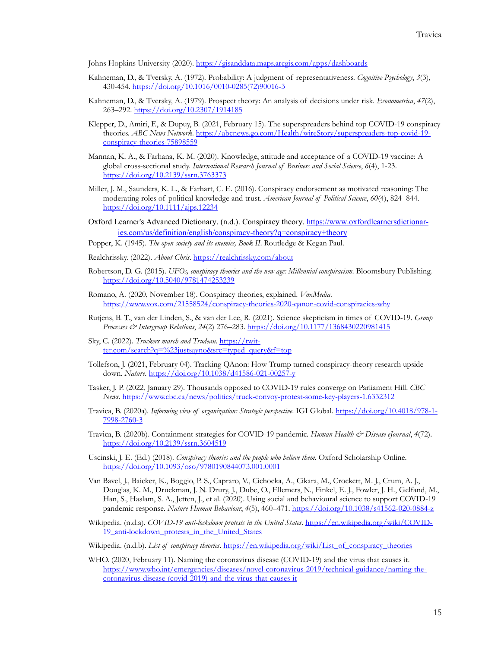Johns Hopkins University (2020)[. https://gisanddata.maps.arcgis.com/apps/dashboards](https://gisanddata.maps.arcgis.com/apps/dashboards)

- Kahneman, D., & Tversky, A. (1972). Probability: A judgment of representativeness. *Cognitive Psychology*, *3*(3), 430-454. [https://doi.org/10.1016/0010](https://doi.org/10.1016/0010-0285(72)90016-3)-0285(72)90016-3
- Kahneman, D., & Tversky, A. (1979). Prospect theory: An analysis of decisions under risk. *Econometrica*, *47*(2), 263–292. <https://doi.org/10.2307/1914185>
- Klepper, D., Amiri, F., & Dupuy, B. (2021, February 15). The superspreaders behind top COVID-19 conspiracy theories. *ABC News Network*[. https://abcnews.go.com/Health/wireStory/superspreaders](https://abcnews.go.com/Health/wireStory/superspreaders-top-covid-19-conspiracy-theories-75898559)-top-covid-19 [conspiracy-theories-](https://abcnews.go.com/Health/wireStory/superspreaders-top-covid-19-conspiracy-theories-75898559)75898559
- Mannan, K. A., & Farhana, K. M. (2020). Knowledge, attitude and acceptance of a COVID-19 vaccine: A global cross-sectional study. *International Research Journal of Business and Social Science*, *6*(4), 1-23. <https://doi.org/10.2139/ssrn.3763373>
- Miller, J. M., Saunders, K. L., & Farhart, C. E. (2016). Conspiracy endorsement as motivated reasoning: The moderating roles of political knowledge and trust. *American Journal of Political Science*, *60*(4), 824–844. <https://doi.org/10.1111/ajps.12234>
- Oxford Learner's Advanced Dictionary. (n.d.). Conspiracy theory. [https://www.oxfordlearnersdictionar](https://www.oxfordlearnersdictionaries.com/us/definition/english/conspiracy-theory?q=conspiracy+theory)[ies.com/us/definition/english/conspiracy-theory?q=conspiracy+theory](https://www.oxfordlearnersdictionaries.com/us/definition/english/conspiracy-theory?q=conspiracy+theory)
- Popper, K. (1945). *The open society and its enemies, Book II*. Routledge & Kegan Paul.
- Realchrissky. (2022). *About Chris.*<https://realchrissky.com/about>
- Robertson, D. G. (2015). *UFOs, conspiracy theories and the new age: Millennial conspiracism*. Bloomsbury Publishing. <https://doi.org/10.5040/9781474253239>
- Romano, A. (2020, November 18). Conspiracy theories, explained. *VoxMedia*. [https://www.vox.com/21558524/conspiracy](https://www.vox.com/21558524/conspiracy-theories-2020-qanon-covid-conspiracies-why)-theories-2020-qanon-covid-conspiracies-why
- Rutjens, B. T., van der Linden, S., & van der Lee, R. (2021). Science skepticism in times of COVID-19. *Group Processes & Intergroup Relations*, *24*(2) 276–283.<https://doi.org/10.1177/1368430220981415>
- Sky, C. (2022). *Truckers march and Trudeau*. [https://twit](https://twitter.com/search?q=%23justsayno&src=typed_query&f=top)[ter.com/search?q=%23justsayno&src=typed\\_query&f=top](https://twitter.com/search?q=%23justsayno&src=typed_query&f=top)
- Tollefson, J. (2021, February 04). Tracking QAnon: How Trump turned conspiracy-theory research upside down. *Nature*. [https://doi.org/10.1038/d41586](https://doi.org/10.1038/d41586-021-00257-y)-021-00257-y
- Tasker, J. P. (2022, January 29). Thousands opposed to COVID-19 rules converge on Parliament Hill. *CBC News*[. https://www.cbc.ca/news/politics/truck](https://www.cbc.ca/news/politics/truck-convoy-protest-some-key-players-1.6332312)-convoy-protest-some-key-players-1.6332312
- Travica, B. (2020a). *Informing view of organization: Strategic perspective*. IGI Global. [https://doi.org/10.4018/978](https://doi.org/10.4018/978-1-7998-2760-3)-1- [7998](https://doi.org/10.4018/978-1-7998-2760-3)-2760-3
- Travica, B. (2020b). Containment strategies for COVID-19 pandemic. *Human Health & Disease eJournal*, *4*(72). <https://doi.org/10.2139/ssrn.3604519>
- Uscinski, J. E. (Ed.) (2018). *Conspiracy theories and the people who believe them*. Oxford Scholarship Online. <https://doi.org/10.1093/oso/9780190844073.001.0001>
- Van Bavel, J., Baicker, K., Boggio, P. S., Capraro, V., Cichocka, A., Cikara, M., Crockett, M. J., Crum, A. J., Douglas, K. M., Druckman, J. N. Drury, J., Dube, O., Ellemers, N., Finkel, E. J., Fowler, J. H., Gelfand, M., Han, S., Haslam, S. A., Jetten, J., et al. (2020). Using social and behavioural science to support COVID-19 pandemic response. *Nature Human Behaviour*, *4*(5), 460–471. [https://doi.org/10.1038/s41562](https://doi.org/10.1038/s41562-020-0884-z)-020-0884-z
- Wikipedia. (n.d.a). *COVID-19 anti-lockdown protests in the United States*. [https://en.wikipedia.org/wiki/COVID](https://en.wikipedia.org/wiki/COVID-19_anti-lockdown_protests_in_the_United_States)-19 anti-lockdown protests in the United States
- Wikipedia. (n.d.b). *List of conspiracy theories*. [https://en.wikipedia.org/wiki/List\\_of\\_conspiracy\\_theories](https://en.wikipedia.org/wiki/List_of_conspiracy_theories)
- WHO. (2020, February 11). Naming the coronavirus disease (COVID-19) and the virus that causes it. [https://www.who.int/emergencies/diseases/novel](https://www.who.int/emergencies/diseases/novel-coronavirus-2019/technical-guidance/naming-the-coronavirus-disease-(covid-2019)-and-the-virus-that-causes-it)-coronavirus-2019/technical-guidance/naming-the[coronavirus](https://www.who.int/emergencies/diseases/novel-coronavirus-2019/technical-guidance/naming-the-coronavirus-disease-(covid-2019)-and-the-virus-that-causes-it)-disease-(covid-2019)-and-the-virus-that-causes-it